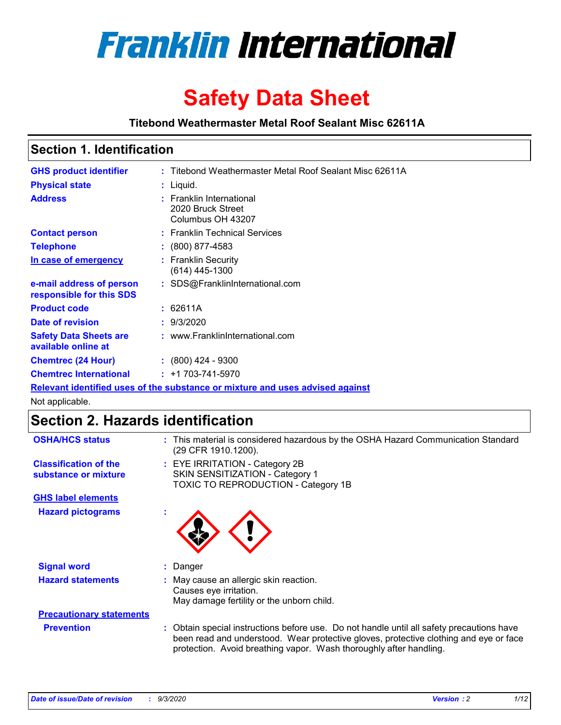

# **Safety Data Sheet**

**Titebond Weathermaster Metal Roof Sealant Misc 62611A**

### **Section 1. Identification**

| <b>GHS product identifier</b>                                                 |  | : Titebond Weathermaster Metal Roof Sealant Misc 62611A            |  |  |
|-------------------------------------------------------------------------------|--|--------------------------------------------------------------------|--|--|
| <b>Physical state</b>                                                         |  | : Liquid.                                                          |  |  |
| <b>Address</b>                                                                |  | : Franklin International<br>2020 Bruck Street<br>Columbus OH 43207 |  |  |
| <b>Contact person</b>                                                         |  | : Franklin Technical Services                                      |  |  |
| <b>Telephone</b>                                                              |  | $\colon$ (800) 877-4583                                            |  |  |
| In case of emergency                                                          |  | : Franklin Security<br>(614) 445-1300                              |  |  |
| e-mail address of person<br>responsible for this SDS                          |  | : SDS@FranklinInternational.com                                    |  |  |
| <b>Product code</b>                                                           |  | : 62611A                                                           |  |  |
| Date of revision                                                              |  | : 9/3/2020                                                         |  |  |
| <b>Safety Data Sheets are</b><br>available online at                          |  | : www.FranklinInternational.com                                    |  |  |
| <b>Chemtrec (24 Hour)</b>                                                     |  | $: (800)$ 424 - 9300                                               |  |  |
| <b>Chemtrec International</b>                                                 |  | $: +1703 - 741 - 5970$                                             |  |  |
| Relevant identified uses of the substance or mixture and uses advised against |  |                                                                    |  |  |

Not applicable.

## **Section 2. Hazards identification**

| <b>OSHA/HCS status</b>                               |    | : This material is considered hazardous by the OSHA Hazard Communication Standard<br>(29 CFR 1910.1200).                                                                                                                                                 |
|------------------------------------------------------|----|----------------------------------------------------------------------------------------------------------------------------------------------------------------------------------------------------------------------------------------------------------|
| <b>Classification of the</b><br>substance or mixture |    | : EYE IRRITATION - Category 2B<br>SKIN SENSITIZATION - Category 1<br>TOXIC TO REPRODUCTION - Category 1B                                                                                                                                                 |
| <b>GHS label elements</b>                            |    |                                                                                                                                                                                                                                                          |
| <b>Hazard pictograms</b>                             | ×. |                                                                                                                                                                                                                                                          |
| <b>Signal word</b>                                   | ÷. | Danger                                                                                                                                                                                                                                                   |
| <b>Hazard statements</b>                             |    | May cause an allergic skin reaction.<br>Causes eye irritation.<br>May damage fertility or the unborn child.                                                                                                                                              |
| <b>Precautionary statements</b>                      |    |                                                                                                                                                                                                                                                          |
| <b>Prevention</b>                                    |    | : Obtain special instructions before use. Do not handle until all safety precautions have<br>been read and understood. Wear protective gloves, protective clothing and eye or face<br>protection. Avoid breathing vapor. Wash thoroughly after handling. |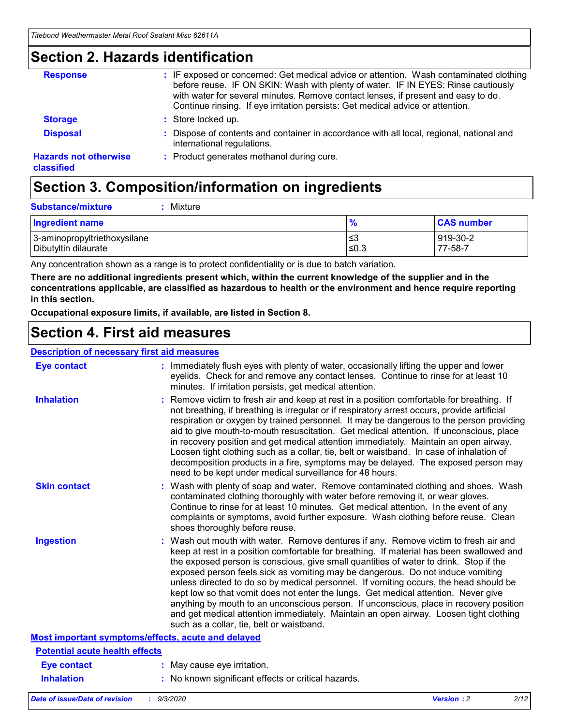### **Section 2. Hazards identification**

| <b>Response</b>                            | : IF exposed or concerned: Get medical advice or attention. Wash contaminated clothing<br>before reuse. IF ON SKIN: Wash with plenty of water. IF IN EYES: Rinse cautiously<br>with water for several minutes. Remove contact lenses, if present and easy to do.<br>Continue rinsing. If eye irritation persists: Get medical advice or attention. |
|--------------------------------------------|----------------------------------------------------------------------------------------------------------------------------------------------------------------------------------------------------------------------------------------------------------------------------------------------------------------------------------------------------|
| <b>Storage</b>                             | : Store locked up.                                                                                                                                                                                                                                                                                                                                 |
| <b>Disposal</b>                            | : Dispose of contents and container in accordance with all local, regional, national and<br>international regulations.                                                                                                                                                                                                                             |
| <b>Hazards not otherwise</b><br>classified | : Product generates methanol during cure.                                                                                                                                                                                                                                                                                                          |

## **Section 3. Composition/information on ingredients**

| <b>Substance/mixture</b> | Mixture |
|--------------------------|---------|
|                          |         |

| <b>Ingredient name</b>       | $\frac{9}{6}$ | <b>CAS number</b> |
|------------------------------|---------------|-------------------|
| 3-aminopropyltriethoxysilane | ≤3            | 919-30-2          |
| Dibutyltin dilaurate         | ∣≤0.3         | 77-58-7           |

Any concentration shown as a range is to protect confidentiality or is due to batch variation.

**There are no additional ingredients present which, within the current knowledge of the supplier and in the concentrations applicable, are classified as hazardous to health or the environment and hence require reporting in this section.**

**Occupational exposure limits, if available, are listed in Section 8.**

### **Section 4. First aid measures**

| <b>Description of necessary first aid measures</b> |                                                                                                                                                                                                                                                                                                                                                                                                                                                                                                                                                                                                                                                                                                                                                                           |
|----------------------------------------------------|---------------------------------------------------------------------------------------------------------------------------------------------------------------------------------------------------------------------------------------------------------------------------------------------------------------------------------------------------------------------------------------------------------------------------------------------------------------------------------------------------------------------------------------------------------------------------------------------------------------------------------------------------------------------------------------------------------------------------------------------------------------------------|
| <b>Eye contact</b>                                 | : Immediately flush eyes with plenty of water, occasionally lifting the upper and lower<br>eyelids. Check for and remove any contact lenses. Continue to rinse for at least 10<br>minutes. If irritation persists, get medical attention.                                                                                                                                                                                                                                                                                                                                                                                                                                                                                                                                 |
| <b>Inhalation</b>                                  | : Remove victim to fresh air and keep at rest in a position comfortable for breathing. If<br>not breathing, if breathing is irregular or if respiratory arrest occurs, provide artificial<br>respiration or oxygen by trained personnel. It may be dangerous to the person providing<br>aid to give mouth-to-mouth resuscitation. Get medical attention. If unconscious, place<br>in recovery position and get medical attention immediately. Maintain an open airway.<br>Loosen tight clothing such as a collar, tie, belt or waistband. In case of inhalation of<br>decomposition products in a fire, symptoms may be delayed. The exposed person may<br>need to be kept under medical surveillance for 48 hours.                                                       |
| <b>Skin contact</b>                                | : Wash with plenty of soap and water. Remove contaminated clothing and shoes. Wash<br>contaminated clothing thoroughly with water before removing it, or wear gloves.<br>Continue to rinse for at least 10 minutes. Get medical attention. In the event of any<br>complaints or symptoms, avoid further exposure. Wash clothing before reuse. Clean<br>shoes thoroughly before reuse.                                                                                                                                                                                                                                                                                                                                                                                     |
| <b>Ingestion</b>                                   | : Wash out mouth with water. Remove dentures if any. Remove victim to fresh air and<br>keep at rest in a position comfortable for breathing. If material has been swallowed and<br>the exposed person is conscious, give small quantities of water to drink. Stop if the<br>exposed person feels sick as vomiting may be dangerous. Do not induce vomiting<br>unless directed to do so by medical personnel. If vomiting occurs, the head should be<br>kept low so that vomit does not enter the lungs. Get medical attention. Never give<br>anything by mouth to an unconscious person. If unconscious, place in recovery position<br>and get medical attention immediately. Maintain an open airway. Loosen tight clothing<br>such as a collar, tie, belt or waistband. |
| Most important symptoms/effects, acute and delayed |                                                                                                                                                                                                                                                                                                                                                                                                                                                                                                                                                                                                                                                                                                                                                                           |
| <b>Potential acute health effects</b>              |                                                                                                                                                                                                                                                                                                                                                                                                                                                                                                                                                                                                                                                                                                                                                                           |
| Eye contact                                        | : May cause eye irritation.                                                                                                                                                                                                                                                                                                                                                                                                                                                                                                                                                                                                                                                                                                                                               |
| <b>Inhalation</b>                                  | : No known significant effects or critical hazards.                                                                                                                                                                                                                                                                                                                                                                                                                                                                                                                                                                                                                                                                                                                       |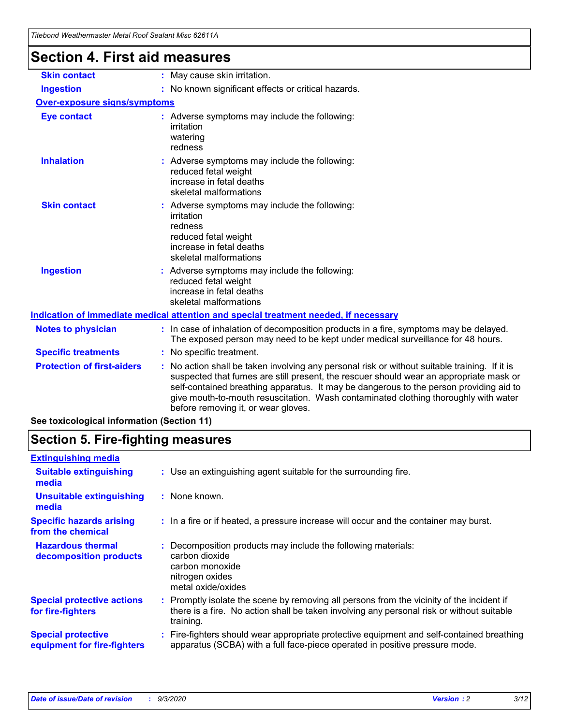| <b>Section 4. First aid measures</b> |                                                                                                                                                                                                                                                                                                                                                                                                                 |
|--------------------------------------|-----------------------------------------------------------------------------------------------------------------------------------------------------------------------------------------------------------------------------------------------------------------------------------------------------------------------------------------------------------------------------------------------------------------|
| <b>Skin contact</b>                  | : May cause skin irritation.                                                                                                                                                                                                                                                                                                                                                                                    |
| <b>Ingestion</b>                     | : No known significant effects or critical hazards.                                                                                                                                                                                                                                                                                                                                                             |
| <b>Over-exposure signs/symptoms</b>  |                                                                                                                                                                                                                                                                                                                                                                                                                 |
| <b>Eye contact</b>                   | : Adverse symptoms may include the following:<br>irritation<br>watering<br>redness                                                                                                                                                                                                                                                                                                                              |
| <b>Inhalation</b>                    | : Adverse symptoms may include the following:<br>reduced fetal weight<br>increase in fetal deaths<br>skeletal malformations                                                                                                                                                                                                                                                                                     |
| <b>Skin contact</b>                  | Adverse symptoms may include the following:<br>irritation<br>redness<br>reduced fetal weight<br>increase in fetal deaths<br>skeletal malformations                                                                                                                                                                                                                                                              |
| <b>Ingestion</b>                     | : Adverse symptoms may include the following:<br>reduced fetal weight<br>increase in fetal deaths<br>skeletal malformations                                                                                                                                                                                                                                                                                     |
|                                      | Indication of immediate medical attention and special treatment needed, if necessary                                                                                                                                                                                                                                                                                                                            |
| <b>Notes to physician</b>            | : In case of inhalation of decomposition products in a fire, symptoms may be delayed.<br>The exposed person may need to be kept under medical surveillance for 48 hours.                                                                                                                                                                                                                                        |
| <b>Specific treatments</b>           | : No specific treatment.                                                                                                                                                                                                                                                                                                                                                                                        |
| <b>Protection of first-aiders</b>    | : No action shall be taken involving any personal risk or without suitable training. If it is<br>suspected that fumes are still present, the rescuer should wear an appropriate mask or<br>self-contained breathing apparatus. It may be dangerous to the person providing aid to<br>give mouth-to-mouth resuscitation. Wash contaminated clothing thoroughly with water<br>before removing it, or wear gloves. |

### **See toxicological information (Section 11)**

## **Section 5. Fire-fighting measures**

| <b>Extinguishing media</b>                               |                                                                                                                                                                                                     |
|----------------------------------------------------------|-----------------------------------------------------------------------------------------------------------------------------------------------------------------------------------------------------|
| <b>Suitable extinguishing</b><br>media                   | : Use an extinguishing agent suitable for the surrounding fire.                                                                                                                                     |
| <b>Unsuitable extinguishing</b><br>media                 | $:$ None known.                                                                                                                                                                                     |
| <b>Specific hazards arising</b><br>from the chemical     | : In a fire or if heated, a pressure increase will occur and the container may burst.                                                                                                               |
| <b>Hazardous thermal</b><br>decomposition products       | Decomposition products may include the following materials:<br>carbon dioxide<br>carbon monoxide<br>nitrogen oxides<br>metal oxide/oxides                                                           |
| <b>Special protective actions</b><br>for fire-fighters   | : Promptly isolate the scene by removing all persons from the vicinity of the incident if<br>there is a fire. No action shall be taken involving any personal risk or without suitable<br>training. |
| <b>Special protective</b><br>equipment for fire-fighters | Fire-fighters should wear appropriate protective equipment and self-contained breathing<br>apparatus (SCBA) with a full face-piece operated in positive pressure mode.                              |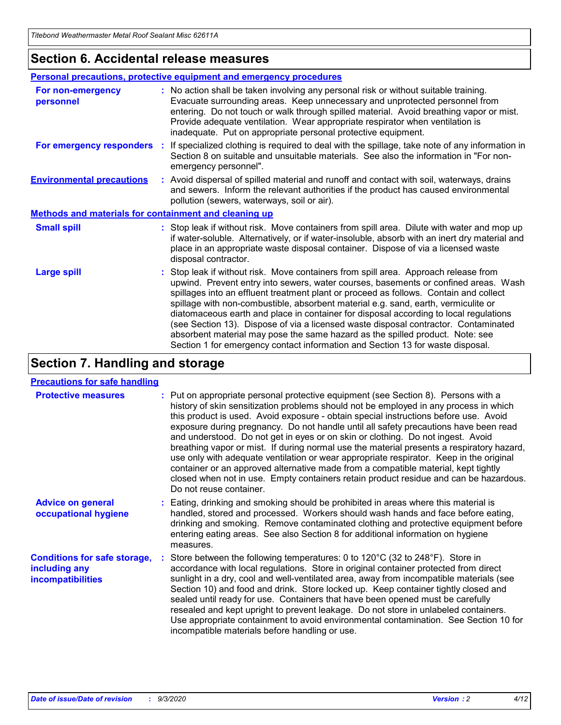### **Section 6. Accidental release measures**

|                                                              | Personal precautions, protective equipment and emergency procedures                                                                                                                                                                                                                                                                                                                                                                                                                                                                                                                                                                                                                                          |  |  |  |
|--------------------------------------------------------------|--------------------------------------------------------------------------------------------------------------------------------------------------------------------------------------------------------------------------------------------------------------------------------------------------------------------------------------------------------------------------------------------------------------------------------------------------------------------------------------------------------------------------------------------------------------------------------------------------------------------------------------------------------------------------------------------------------------|--|--|--|
| For non-emergency<br>personnel                               | : No action shall be taken involving any personal risk or without suitable training.<br>Evacuate surrounding areas. Keep unnecessary and unprotected personnel from<br>entering. Do not touch or walk through spilled material. Avoid breathing vapor or mist.<br>Provide adequate ventilation. Wear appropriate respirator when ventilation is<br>inadequate. Put on appropriate personal protective equipment.                                                                                                                                                                                                                                                                                             |  |  |  |
| For emergency responders                                     | : If specialized clothing is required to deal with the spillage, take note of any information in<br>Section 8 on suitable and unsuitable materials. See also the information in "For non-<br>emergency personnel".                                                                                                                                                                                                                                                                                                                                                                                                                                                                                           |  |  |  |
| <b>Environmental precautions</b>                             | : Avoid dispersal of spilled material and runoff and contact with soil, waterways, drains<br>and sewers. Inform the relevant authorities if the product has caused environmental<br>pollution (sewers, waterways, soil or air).                                                                                                                                                                                                                                                                                                                                                                                                                                                                              |  |  |  |
| <b>Methods and materials for containment and cleaning up</b> |                                                                                                                                                                                                                                                                                                                                                                                                                                                                                                                                                                                                                                                                                                              |  |  |  |
| <b>Small spill</b>                                           | : Stop leak if without risk. Move containers from spill area. Dilute with water and mop up<br>if water-soluble. Alternatively, or if water-insoluble, absorb with an inert dry material and<br>place in an appropriate waste disposal container. Dispose of via a licensed waste<br>disposal contractor.                                                                                                                                                                                                                                                                                                                                                                                                     |  |  |  |
| <b>Large spill</b>                                           | : Stop leak if without risk. Move containers from spill area. Approach release from<br>upwind. Prevent entry into sewers, water courses, basements or confined areas. Wash<br>spillages into an effluent treatment plant or proceed as follows. Contain and collect<br>spillage with non-combustible, absorbent material e.g. sand, earth, vermiculite or<br>diatomaceous earth and place in container for disposal according to local regulations<br>(see Section 13). Dispose of via a licensed waste disposal contractor. Contaminated<br>absorbent material may pose the same hazard as the spilled product. Note: see<br>Section 1 for emergency contact information and Section 13 for waste disposal. |  |  |  |

## **Section 7. Handling and storage**

### **Precautions for safe handling**

| <b>Protective measures</b>                                                       | : Put on appropriate personal protective equipment (see Section 8). Persons with a<br>history of skin sensitization problems should not be employed in any process in which<br>this product is used. Avoid exposure - obtain special instructions before use. Avoid<br>exposure during pregnancy. Do not handle until all safety precautions have been read<br>and understood. Do not get in eyes or on skin or clothing. Do not ingest. Avoid<br>breathing vapor or mist. If during normal use the material presents a respiratory hazard,<br>use only with adequate ventilation or wear appropriate respirator. Keep in the original<br>container or an approved alternative made from a compatible material, kept tightly<br>closed when not in use. Empty containers retain product residue and can be hazardous.<br>Do not reuse container. |
|----------------------------------------------------------------------------------|--------------------------------------------------------------------------------------------------------------------------------------------------------------------------------------------------------------------------------------------------------------------------------------------------------------------------------------------------------------------------------------------------------------------------------------------------------------------------------------------------------------------------------------------------------------------------------------------------------------------------------------------------------------------------------------------------------------------------------------------------------------------------------------------------------------------------------------------------|
| <b>Advice on general</b><br>occupational hygiene                                 | : Eating, drinking and smoking should be prohibited in areas where this material is<br>handled, stored and processed. Workers should wash hands and face before eating,<br>drinking and smoking. Remove contaminated clothing and protective equipment before<br>entering eating areas. See also Section 8 for additional information on hygiene<br>measures.                                                                                                                                                                                                                                                                                                                                                                                                                                                                                    |
| <b>Conditions for safe storage,</b><br>including any<br><i>incompatibilities</i> | Store between the following temperatures: 0 to $120^{\circ}$ C (32 to $248^{\circ}$ F). Store in<br>accordance with local regulations. Store in original container protected from direct<br>sunlight in a dry, cool and well-ventilated area, away from incompatible materials (see<br>Section 10) and food and drink. Store locked up. Keep container tightly closed and<br>sealed until ready for use. Containers that have been opened must be carefully<br>resealed and kept upright to prevent leakage. Do not store in unlabeled containers.<br>Use appropriate containment to avoid environmental contamination. See Section 10 for<br>incompatible materials before handling or use.                                                                                                                                                     |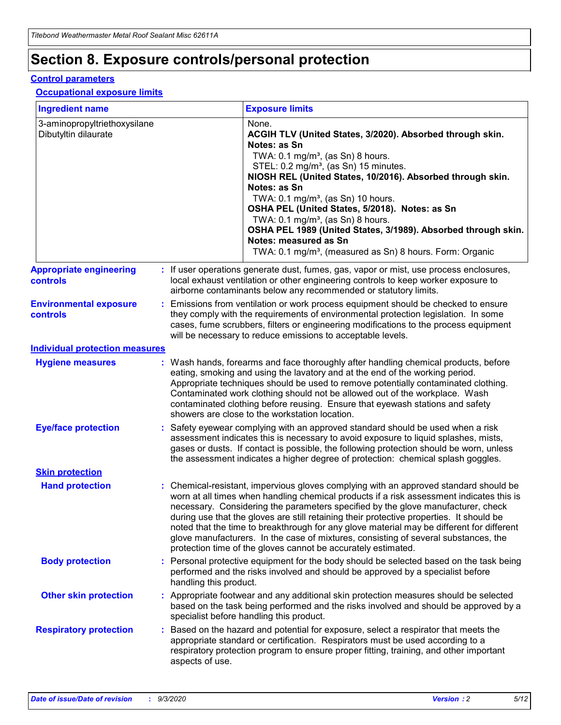## **Section 8. Exposure controls/personal protection**

### **Control parameters**

#### **Occupational exposure limits**

| <b>Ingredient name</b>                               |    |                        | <b>Exposure limits</b>                                                                                                                                                                                                                                                                                                                                                                                                                                                                                                                                                                                                 |
|------------------------------------------------------|----|------------------------|------------------------------------------------------------------------------------------------------------------------------------------------------------------------------------------------------------------------------------------------------------------------------------------------------------------------------------------------------------------------------------------------------------------------------------------------------------------------------------------------------------------------------------------------------------------------------------------------------------------------|
| 3-aminopropyltriethoxysilane<br>Dibutyltin dilaurate |    |                        | None.<br>ACGIH TLV (United States, 3/2020). Absorbed through skin.<br>Notes: as Sn<br>TWA: 0.1 mg/m <sup>3</sup> , (as Sn) 8 hours.<br>STEL: 0.2 mg/m <sup>3</sup> , (as Sn) 15 minutes.<br>NIOSH REL (United States, 10/2016). Absorbed through skin.<br>Notes: as Sn<br>TWA: 0.1 mg/m <sup>3</sup> , (as Sn) 10 hours.<br>OSHA PEL (United States, 5/2018). Notes: as Sn<br>TWA: $0.1 \text{ mg/m}^3$ , (as Sn) 8 hours.<br>OSHA PEL 1989 (United States, 3/1989). Absorbed through skin.<br>Notes: measured as Sn<br>TWA: 0.1 mg/m <sup>3</sup> , (measured as Sn) 8 hours. Form: Organic                           |
| <b>Appropriate engineering</b><br>controls           |    |                        | : If user operations generate dust, fumes, gas, vapor or mist, use process enclosures,<br>local exhaust ventilation or other engineering controls to keep worker exposure to<br>airborne contaminants below any recommended or statutory limits.                                                                                                                                                                                                                                                                                                                                                                       |
| <b>Environmental exposure</b><br><b>controls</b>     |    |                        | Emissions from ventilation or work process equipment should be checked to ensure<br>they comply with the requirements of environmental protection legislation. In some<br>cases, fume scrubbers, filters or engineering modifications to the process equipment<br>will be necessary to reduce emissions to acceptable levels.                                                                                                                                                                                                                                                                                          |
| <b>Individual protection measures</b>                |    |                        |                                                                                                                                                                                                                                                                                                                                                                                                                                                                                                                                                                                                                        |
| <b>Hygiene measures</b>                              |    |                        | : Wash hands, forearms and face thoroughly after handling chemical products, before<br>eating, smoking and using the lavatory and at the end of the working period.<br>Appropriate techniques should be used to remove potentially contaminated clothing.<br>Contaminated work clothing should not be allowed out of the workplace. Wash<br>contaminated clothing before reusing. Ensure that eyewash stations and safety<br>showers are close to the workstation location.                                                                                                                                            |
| <b>Eye/face protection</b>                           |    |                        | : Safety eyewear complying with an approved standard should be used when a risk<br>assessment indicates this is necessary to avoid exposure to liquid splashes, mists,<br>gases or dusts. If contact is possible, the following protection should be worn, unless<br>the assessment indicates a higher degree of protection: chemical splash goggles.                                                                                                                                                                                                                                                                  |
| <b>Skin protection</b>                               |    |                        |                                                                                                                                                                                                                                                                                                                                                                                                                                                                                                                                                                                                                        |
| <b>Hand protection</b>                               |    |                        | : Chemical-resistant, impervious gloves complying with an approved standard should be<br>worn at all times when handling chemical products if a risk assessment indicates this is<br>necessary. Considering the parameters specified by the glove manufacturer, check<br>during use that the gloves are still retaining their protective properties. It should be<br>noted that the time to breakthrough for any glove material may be different for different<br>glove manufacturers. In the case of mixtures, consisting of several substances, the<br>protection time of the gloves cannot be accurately estimated. |
| <b>Body protection</b>                               |    | handling this product. | Personal protective equipment for the body should be selected based on the task being<br>performed and the risks involved and should be approved by a specialist before                                                                                                                                                                                                                                                                                                                                                                                                                                                |
| <b>Other skin protection</b>                         |    |                        | : Appropriate footwear and any additional skin protection measures should be selected<br>based on the task being performed and the risks involved and should be approved by a<br>specialist before handling this product.                                                                                                                                                                                                                                                                                                                                                                                              |
| <b>Respiratory protection</b>                        | ÷. | aspects of use.        | Based on the hazard and potential for exposure, select a respirator that meets the<br>appropriate standard or certification. Respirators must be used according to a<br>respiratory protection program to ensure proper fitting, training, and other important                                                                                                                                                                                                                                                                                                                                                         |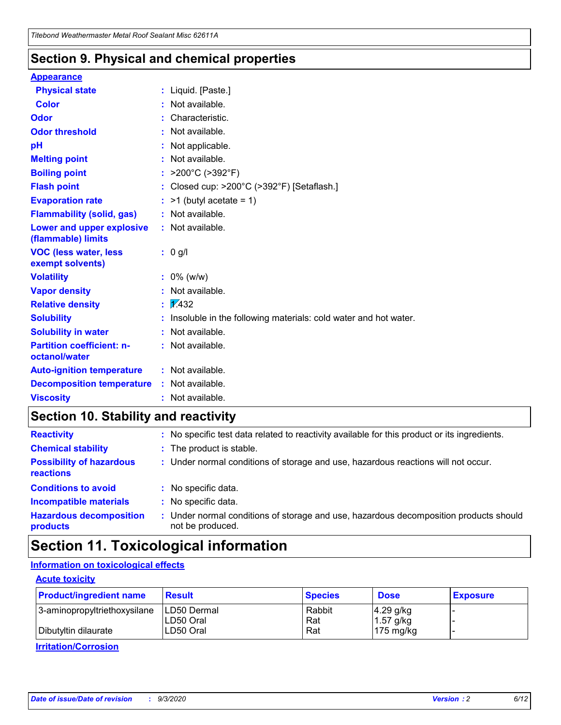### **Section 9. Physical and chemical properties**

#### **Appearance**

| <b>Physical state</b>                             | : Liquid. [Paste.]                                                |
|---------------------------------------------------|-------------------------------------------------------------------|
| Color                                             | Not available.                                                    |
| Odor                                              | : Characteristic.                                                 |
| <b>Odor threshold</b>                             | : Not available.                                                  |
| pH                                                | : Not applicable.                                                 |
| <b>Melting point</b>                              | : Not available.                                                  |
| <b>Boiling point</b>                              | : $>200^{\circ}$ C ( $>392^{\circ}$ F)                            |
| <b>Flash point</b>                                | : Closed cup: >200°C (>392°F) [Setaflash.]                        |
| <b>Evaporation rate</b>                           | $:$ >1 (butyl acetate = 1)                                        |
| <b>Flammability (solid, gas)</b>                  | : Not available.                                                  |
| Lower and upper explosive<br>(flammable) limits   | : Not available.                                                  |
| <b>VOC (less water, less</b><br>exempt solvents)  | $: 0$ g/l                                                         |
| <b>Volatility</b>                                 | $: 0\%$ (w/w)                                                     |
| <b>Vapor density</b>                              | : Not available.                                                  |
| <b>Relative density</b>                           | $\mathbf{1}$ $\mathbf{\sqrt{432}}$                                |
| <b>Solubility</b>                                 | : Insoluble in the following materials: cold water and hot water. |
| <b>Solubility in water</b>                        | : Not available.                                                  |
| <b>Partition coefficient: n-</b><br>octanol/water | : Not available.                                                  |
| <b>Auto-ignition temperature</b>                  | : Not available.                                                  |
| <b>Decomposition temperature</b>                  | : Not available.                                                  |
| <b>Viscosity</b>                                  | : Not available.                                                  |

### **Section 10. Stability and reactivity**

| <b>Reactivity</b>                                   | : No specific test data related to reactivity available for this product or its ingredients.            |
|-----------------------------------------------------|---------------------------------------------------------------------------------------------------------|
| <b>Chemical stability</b>                           | : The product is stable.                                                                                |
| <b>Possibility of hazardous</b><br><b>reactions</b> | : Under normal conditions of storage and use, hazardous reactions will not occur.                       |
| <b>Conditions to avoid</b>                          | : No specific data.                                                                                     |
| <b>Incompatible materials</b>                       | No specific data.                                                                                       |
| <b>Hazardous decomposition</b><br>products          | Under normal conditions of storage and use, hazardous decomposition products should<br>not be produced. |

## **Section 11. Toxicological information**

### **Information on toxicological effects**

### **Acute toxicity**

| <b>Product/ingredient name</b> | <b>Result</b>           | <b>Species</b> | <b>Dose</b>                | <b>Exposure</b> |
|--------------------------------|-------------------------|----------------|----------------------------|-----------------|
| 3-aminopropyltriethoxysilane   | <b>ILD50 Dermal</b>     | Rabbit         | 4.29 g/kg                  |                 |
| Dibutyltin dilaurate           | ILD50 Oral<br>LD50 Oral | Rat<br>Rat     | $1.57$ g/kg<br>175 $mg/kg$ |                 |
|                                |                         |                |                            |                 |

**Irritation/Corrosion**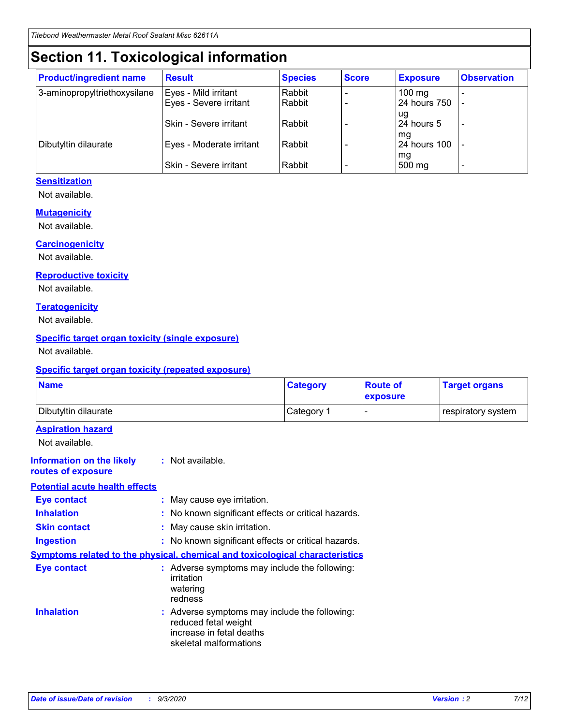## **Section 11. Toxicological information**

| <b>Product/ingredient name</b> | <b>Result</b>                 | <b>Species</b> | <b>Score</b> | <b>Exposure</b>    | <b>Observation</b>       |
|--------------------------------|-------------------------------|----------------|--------------|--------------------|--------------------------|
| 3-aminopropyltriethoxysilane   | Eyes - Mild irritant          | Rabbit         |              | $100 \text{ mg}$   |                          |
|                                | Eyes - Severe irritant        | Rabbit         |              | 24 hours 750       |                          |
|                                |                               |                |              | ug                 |                          |
|                                | <b>Skin - Severe irritant</b> | Rabbit         |              | 24 hours 5         | $\overline{\phantom{0}}$ |
| Dibutyltin dilaurate           | Eyes - Moderate irritant      | Rabbit         |              | mg<br>24 hours 100 |                          |
|                                |                               |                |              | mg                 |                          |
|                                | Skin - Severe irritant        | Rabbit         |              | 500 mg             | -                        |

### **Sensitization**

Not available.

### **Mutagenicity**

Not available.

### **Carcinogenicity**

Not available.

#### **Reproductive toxicity**

Not available.

#### **Teratogenicity**

Not available.

### **Specific target organ toxicity (single exposure)**

Not available.

#### **Specific target organ toxicity (repeated exposure)**

| <b>Name</b>                                                                         |                                                                            | <b>Category</b>                                     | <b>Route of</b><br>exposure | <b>Target organs</b> |  |  |
|-------------------------------------------------------------------------------------|----------------------------------------------------------------------------|-----------------------------------------------------|-----------------------------|----------------------|--|--|
| Dibutyltin dilaurate                                                                |                                                                            | Category 1                                          | -                           | respiratory system   |  |  |
| <b>Aspiration hazard</b><br>Not available.                                          |                                                                            |                                                     |                             |                      |  |  |
| <b>Information on the likely</b><br>routes of exposure                              | : Not available.                                                           |                                                     |                             |                      |  |  |
| <b>Potential acute health effects</b>                                               |                                                                            |                                                     |                             |                      |  |  |
| <b>Eye contact</b>                                                                  | : May cause eye irritation.                                                |                                                     |                             |                      |  |  |
| <b>Inhalation</b>                                                                   |                                                                            | : No known significant effects or critical hazards. |                             |                      |  |  |
| <b>Skin contact</b>                                                                 |                                                                            | : May cause skin irritation.                        |                             |                      |  |  |
| <b>Ingestion</b>                                                                    |                                                                            | : No known significant effects or critical hazards. |                             |                      |  |  |
| <b>Symptoms related to the physical, chemical and toxicological characteristics</b> |                                                                            |                                                     |                             |                      |  |  |
| <b>Eye contact</b>                                                                  | irritation<br>watering<br>redness                                          | : Adverse symptoms may include the following:       |                             |                      |  |  |
| <b>Inhalation</b>                                                                   | reduced fetal weight<br>increase in fetal deaths<br>skeletal malformations | : Adverse symptoms may include the following:       |                             |                      |  |  |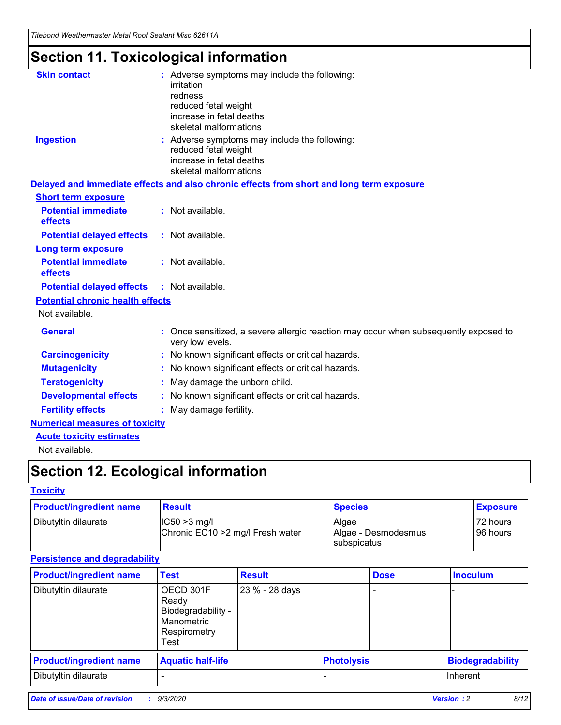*Titebond Weathermaster Metal Roof Sealant Misc 62611A*

## **Section 11. Toxicological information**

| <b>Skin contact</b>                     | : Adverse symptoms may include the following:<br>irritation<br>redness<br>reduced fetal weight<br>increase in fetal deaths<br>skeletal malformations |
|-----------------------------------------|------------------------------------------------------------------------------------------------------------------------------------------------------|
| <b>Ingestion</b>                        | : Adverse symptoms may include the following:<br>reduced fetal weight<br>increase in fetal deaths<br>skeletal malformations                          |
|                                         | Delayed and immediate effects and also chronic effects from short and long term exposure                                                             |
| <b>Short term exposure</b>              |                                                                                                                                                      |
| <b>Potential immediate</b><br>effects   | : Not available.                                                                                                                                     |
| <b>Potential delayed effects</b>        | : Not available.                                                                                                                                     |
| <b>Long term exposure</b>               |                                                                                                                                                      |
| <b>Potential immediate</b><br>effects   | : Not available.                                                                                                                                     |
| <b>Potential delayed effects</b>        | : Not available.                                                                                                                                     |
| <b>Potential chronic health effects</b> |                                                                                                                                                      |
| Not available.                          |                                                                                                                                                      |
| <b>General</b>                          | : Once sensitized, a severe allergic reaction may occur when subsequently exposed to<br>very low levels.                                             |
| <b>Carcinogenicity</b>                  | : No known significant effects or critical hazards.                                                                                                  |
| <b>Mutagenicity</b>                     | : No known significant effects or critical hazards.                                                                                                  |
| <b>Teratogenicity</b>                   | May damage the unborn child.                                                                                                                         |
| <b>Developmental effects</b>            | : No known significant effects or critical hazards.                                                                                                  |
| <b>Fertility effects</b>                | : May damage fertility.                                                                                                                              |
| <b>Numerical measures of toxicity</b>   |                                                                                                                                                      |
| <b>Acute toxicity estimates</b>         |                                                                                                                                                      |
| الملحلة والمستحقق فالمرابط              |                                                                                                                                                      |

Not available.

## **Section 12. Ecological information**

### **Toxicity**

| <b>Product/ingredient name</b> | <b>Result</b>                                       | <b>Species</b>               | <b>Exposure</b>       |
|--------------------------------|-----------------------------------------------------|------------------------------|-----------------------|
| Dibutyltin dilaurate           | $ CC50>3$ mg/l<br>Chronic EC10 > 2 mg/l Fresh water | Algae<br>Algae - Desmodesmus | 72 hours<br>196 hours |
|                                |                                                     | <b>I</b> subspicatus         |                       |

### **Persistence and degradability**

| <b>Product/ingredient name</b> | <b>Test</b>                                                                    | <b>Result</b>  |                   | <b>Dose</b> | <b>Inoculum</b>         |
|--------------------------------|--------------------------------------------------------------------------------|----------------|-------------------|-------------|-------------------------|
| Dibutyltin dilaurate           | OECD 301F<br>Ready<br>Biodegradability -<br>Manometric<br>Respirometry<br>Test | 23 % - 28 days |                   |             |                         |
| <b>Product/ingredient name</b> | <b>Aquatic half-life</b>                                                       |                | <b>Photolysis</b> |             | <b>Biodegradability</b> |
| Dibutyltin dilaurate           |                                                                                |                |                   |             | <b>Inherent</b>         |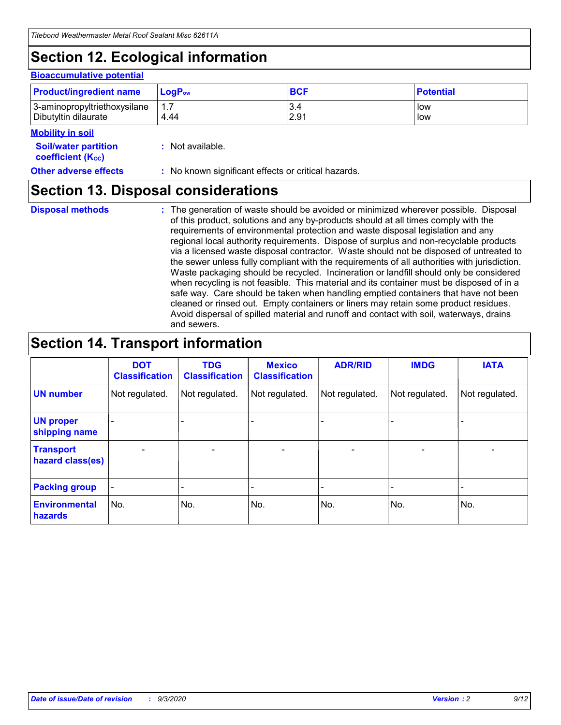## **Section 12. Ecological information**

#### **Bioaccumulative potential**

| <b>Product/ingredient name</b> | $LoaPow$ | <b>BCF</b> | <b>Potential</b> |
|--------------------------------|----------|------------|------------------|
| 3-aminopropyltriethoxysilane   | 1.7      | 3.4        | low              |
| Dibutyltin dilaurate           | 4.44     | 2.91       | low              |

#### **Mobility in soil**

| <b>Soil/water partition</b>           | : Not available. |
|---------------------------------------|------------------|
| <b>coefficient</b> (K <sub>oc</sub> ) |                  |

**Other adverse effects** : No known significant effects or critical hazards.

## **Section 13. Disposal considerations**

**Disposal methods :**

The generation of waste should be avoided or minimized wherever possible. Disposal of this product, solutions and any by-products should at all times comply with the requirements of environmental protection and waste disposal legislation and any regional local authority requirements. Dispose of surplus and non-recyclable products via a licensed waste disposal contractor. Waste should not be disposed of untreated to the sewer unless fully compliant with the requirements of all authorities with jurisdiction. Waste packaging should be recycled. Incineration or landfill should only be considered when recycling is not feasible. This material and its container must be disposed of in a safe way. Care should be taken when handling emptied containers that have not been cleaned or rinsed out. Empty containers or liners may retain some product residues. Avoid dispersal of spilled material and runoff and contact with soil, waterways, drains and sewers.

## **Section 14. Transport information**

|                                      | <b>DOT</b><br><b>Classification</b> | <b>TDG</b><br><b>Classification</b> | <b>Mexico</b><br><b>Classification</b> | <b>ADR/RID</b>           | <b>IMDG</b>              | <b>IATA</b>    |
|--------------------------------------|-------------------------------------|-------------------------------------|----------------------------------------|--------------------------|--------------------------|----------------|
| <b>UN number</b>                     | Not regulated.                      | Not regulated.                      | Not regulated.                         | Not regulated.           | Not regulated.           | Not regulated. |
| <b>UN proper</b><br>shipping name    |                                     |                                     |                                        |                          |                          |                |
| <b>Transport</b><br>hazard class(es) | $\blacksquare$                      | $\overline{\phantom{0}}$            | $\overline{\phantom{a}}$               | $\overline{\phantom{0}}$ | $\overline{\phantom{a}}$ | $\blacksquare$ |
| <b>Packing group</b>                 |                                     |                                     |                                        |                          |                          | -              |
| <b>Environmental</b><br>hazards      | No.                                 | No.                                 | No.                                    | No.                      | No.                      | No.            |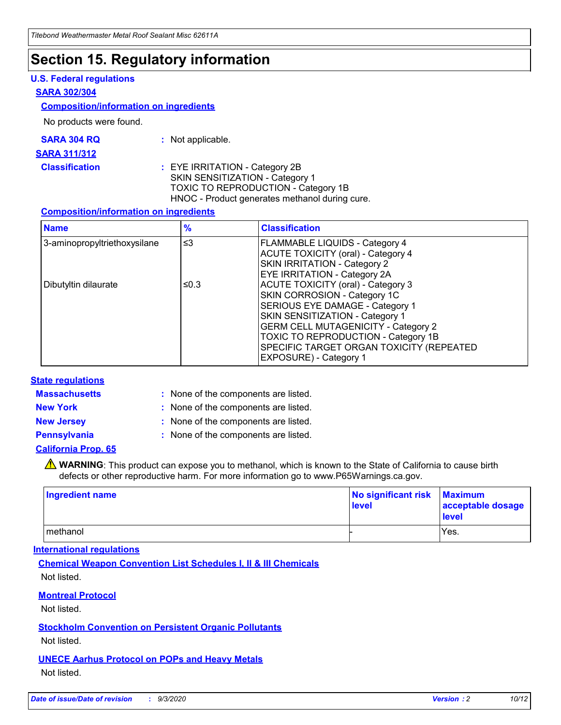### **Section 15. Regulatory information**

### **U.S. Federal regulations**

#### **SARA 302/304**

### **Composition/information on ingredients**

No products were found.

| SARA 304 RQ | Not applicable. |
|-------------|-----------------|
|-------------|-----------------|

#### **SARA 311/312**

**Classification :** EYE IRRITATION - Category 2B SKIN SENSITIZATION - Category 1 TOXIC TO REPRODUCTION - Category 1B HNOC - Product generates methanol during cure.

### **Composition/information on ingredients**

| <b>Name</b>                  | $\frac{9}{6}$ | <b>Classification</b>                                                                                                                                                                                                                                                                                      |
|------------------------------|---------------|------------------------------------------------------------------------------------------------------------------------------------------------------------------------------------------------------------------------------------------------------------------------------------------------------------|
| 3-aminopropyltriethoxysilane | $\leq$ 3      | <b>FLAMMABLE LIQUIDS - Category 4</b><br><b>ACUTE TOXICITY (oral) - Category 4</b><br><b>SKIN IRRITATION - Category 2</b><br>EYE IRRITATION - Category 2A                                                                                                                                                  |
| Dibutyltin dilaurate         | ≤0.3          | <b>ACUTE TOXICITY (oral) - Category 3</b><br>SKIN CORROSION - Category 1C<br>SERIOUS EYE DAMAGE - Category 1<br>SKIN SENSITIZATION - Category 1<br><b>GERM CELL MUTAGENICITY - Category 2</b><br>TOXIC TO REPRODUCTION - Category 1B<br>SPECIFIC TARGET ORGAN TOXICITY (REPEATED<br>EXPOSURE) - Category 1 |

### **State regulations**

**Massachusetts :**

: None of the components are listed.

**New York :** None of the components are listed.

**New Jersey :** None of the components are listed.

**Pennsylvania :** None of the components are listed.

### **California Prop. 65**

WARNING: This product can expose you to methanol, which is known to the State of California to cause birth defects or other reproductive harm. For more information go to www.P65Warnings.ca.gov.

| Ingredient name | No significant risk<br>level | <b>Maximum</b><br>acceptable dosage<br><b>level</b> |
|-----------------|------------------------------|-----------------------------------------------------|
| l methanol      |                              | Yes.                                                |

### **International regulations**

**Chemical Weapon Convention List Schedules I, II & III Chemicals** Not listed.

### **Montreal Protocol**

Not listed.

**Stockholm Convention on Persistent Organic Pollutants**

Not listed.

### **UNECE Aarhus Protocol on POPs and Heavy Metals** Not listed.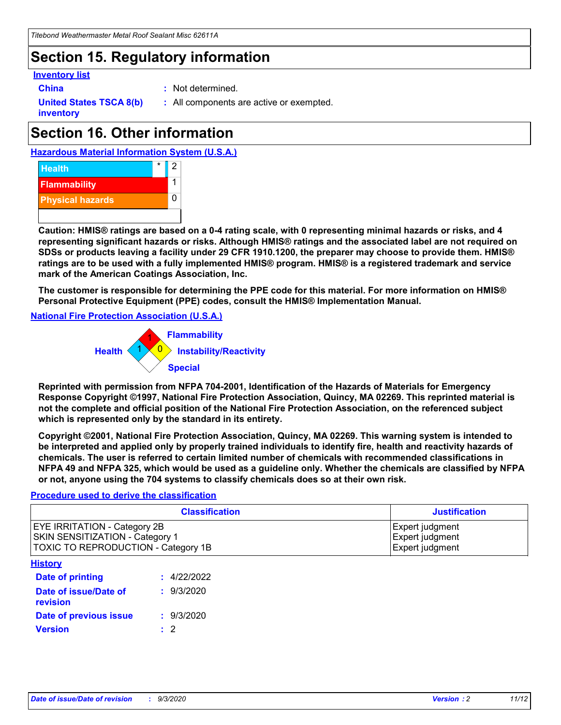## **Section 15. Regulatory information**

### **Inventory list**

- 
- **China :** Not determined.

**United States TSCA 8(b) inventory**

**:** All components are active or exempted.

## **Section 16. Other information**





**Caution: HMIS® ratings are based on a 0-4 rating scale, with 0 representing minimal hazards or risks, and 4 representing significant hazards or risks. Although HMIS® ratings and the associated label are not required on SDSs or products leaving a facility under 29 CFR 1910.1200, the preparer may choose to provide them. HMIS® ratings are to be used with a fully implemented HMIS® program. HMIS® is a registered trademark and service mark of the American Coatings Association, Inc.**

**The customer is responsible for determining the PPE code for this material. For more information on HMIS® Personal Protective Equipment (PPE) codes, consult the HMIS® Implementation Manual.**

**National Fire Protection Association (U.S.A.)**



**Reprinted with permission from NFPA 704-2001, Identification of the Hazards of Materials for Emergency Response Copyright ©1997, National Fire Protection Association, Quincy, MA 02269. This reprinted material is not the complete and official position of the National Fire Protection Association, on the referenced subject which is represented only by the standard in its entirety.**

**Copyright ©2001, National Fire Protection Association, Quincy, MA 02269. This warning system is intended to be interpreted and applied only by properly trained individuals to identify fire, health and reactivity hazards of chemicals. The user is referred to certain limited number of chemicals with recommended classifications in NFPA 49 and NFPA 325, which would be used as a guideline only. Whether the chemicals are classified by NFPA or not, anyone using the 704 systems to classify chemicals does so at their own risk.**

### **Procedure used to derive the classification**

| <b>Classification</b>                                                                                         | <b>Justification</b>                                  |
|---------------------------------------------------------------------------------------------------------------|-------------------------------------------------------|
| <b>EYE IRRITATION - Category 2B</b><br>SKIN SENSITIZATION - Category 1<br>TOXIC TO REPRODUCTION - Category 1B | Expert judgment<br>Expert judgment<br>Expert judgment |
| <b>History</b>                                                                                                |                                                       |

| .                                 |             |
|-----------------------------------|-------------|
| <b>Date of printing</b>           | : 4/22/2022 |
| Date of issue/Date of<br>revision | : 9/3/2020  |
| Date of previous issue            | : 9/3/2020  |
| <b>Version</b>                    | $\cdot$ 2   |
|                                   |             |